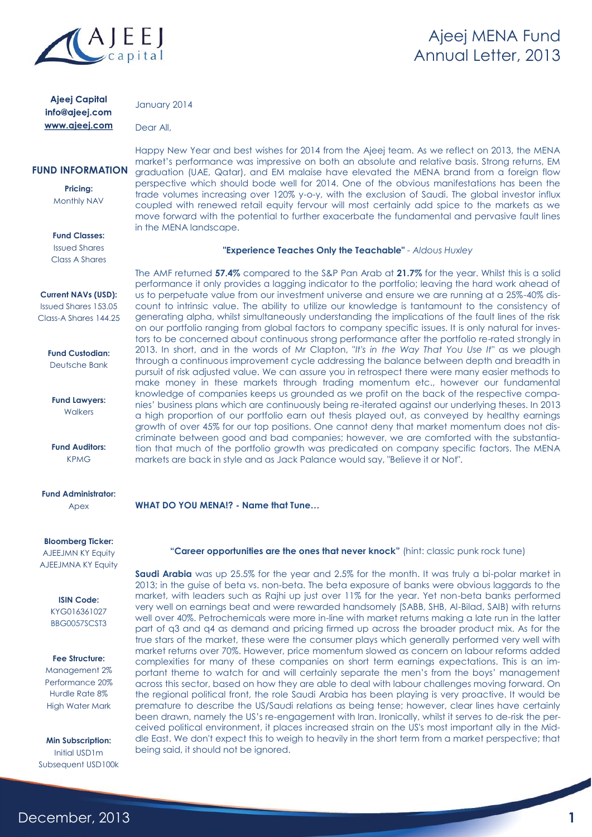

### **Ajeej Capital** info@ajeej.com www.ajeej.com

January 2014

in the MENA landscape.

Dear All,

### **FUND INFORMATION**

**Pricing:** Monthly NAV

**Fund Classes:** Issued Shares

Class A Shares

### **Current NAVs (USD):** Issued Shares 153.05

Class-A Shares 144.25

**Fund Custodian:** Deutsche Bank

**Fund Lawyers:** Walkers

**Fund Auditors:** KPMG

**Fund Administrator:** Apex

### **Bloomberg Ticker:**

**AJEEJMN KY Equity** AJEEJMNA KY Equity

**ISIN Code:**

KYG016361027 BBG0057SCST3

### **Fee Structure:**

Management 2% Performance 20% Hurdle Rate 8% High Water Mark

**Min Subscription:** Initial USD1m Subsequent USD100k

December, 2013

**WHAT DO YOU MENA!? - Name that Tune…**

**"Career opportunities are the ones that never knock"** (hint: classic punk rock tune)

**Saudi Arabia** was up 25.5% for the year and 2.5% for the month. It was truly a bi-polar market in 2013; in the guise of beta vs. non-beta. The beta exposure of banks were obvious laggards to the market, with leaders such as Rajhi up just over 11% for the year. Yet non-beta banks performed very well on earnings beat and were rewarded handsomely (SABB, SHB, Al-Bilad, SAIB) with returns well over 40%. Petrochemicals were more in-line with market returns making a late run in the latter part of q3 and q4 as demand and pricing firmed up across the broader product mix. As for the true stars of the market, these were the consumer plays which generally performed very well with market returns over 70%. However, price momentum slowed as concern on labour reforms added complexities for many of these companies on short term earnings expectations. This is an important theme to watch for and will certainly separate the men's from the boys' management across this sector, based on how they are able to deal with labour challenges moving forward. On the regional political front, the role Saudi Arabia has been playing is very proactive. It would be premature to describe the US/Saudi relations as being tense; however, clear lines have certainly been drawn, namely the US's re-engagement with Iran. Ironically, whilst it serves to de-risk the perceived political environment, it places increased strain on the US's most important ally in the Middle East. We don't expect this to weigh to heavily in the short term from a market perspective; that being said, it should not be ignored.

**"Experience Teaches Only the Teachable"** *- Aldous Huxley*

Happy New Year and best wishes for 2014 from the Ajeej team. As we reflect on 2013, the MENA market's performance was impressive on both an absolute and relative basis. Strong returns, EM graduation (UAE, Qatar), and EM malaise have elevated the MENA brand from a foreign flow perspective which should bode well for 2014. One of the obvious manifestations has been the trade volumes increasing over 120% y-o-y, with the exclusion of Saudi. The global investor influx coupled with renewed retail equity fervour will most certainly add spice to the markets as we move forward with the potential to further exacerbate the fundamental and pervasive fault lines

The AMF returned **57.4%** compared to the S&P Pan Arab at **21.7%** for the year. Whilst this is a solid performance it only provides a lagging indicator to the portfolio; leaving the hard work ahead of us to perpetuate value from our investment universe and ensure we are running at a 25%-40% discount to intrinsic value. The ability to utilize our knowledge is tantamount to the consistency of generating alpha, whilst simultaneously understanding the implications of the fault lines of the risk on our portfolio ranging from global factors to company specific issues. It is only natural for investors to be concerned about continuous strong performance after the portfolio re-rated strongly in 2013. In short, and in the words of Mr Clapton, "*It's in the Way That You Use It*" as we plough through a continuous improvement cycle addressing the balance between depth and breadth in pursuit of risk adjusted value. We can assure you in retrospect there were many easier methods to make money in these markets through trading momentum etc., however our fundamental knowledge of companies keeps us grounded as we profit on the back of the respective companies' business plans which are continuously being re-iterated against our underlying theses. In 2013 a high proportion of our portfolio earn out thesis played out, as conveyed by healthy earnings growth of over 45% for our top positions. One cannot deny that market momentum does not discriminate between good and bad companies; however, we are comforted with the substantiation that much of the portfolio growth was predicated on company specific factors. The MENA markets are back in style and as Jack Palance would say, "Believe it or Not".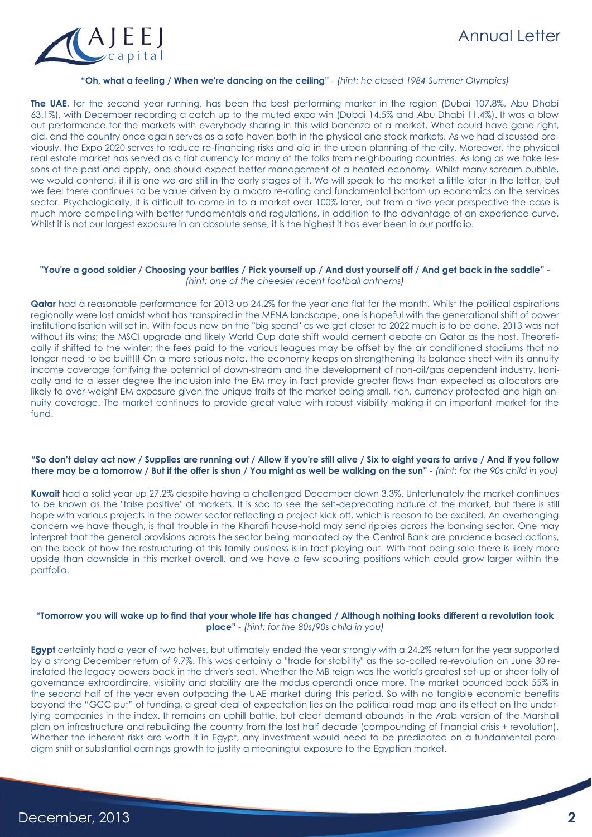

### **"Oh, what a feeling / When we're dancing on the ceiling"** *- (hint: he closed 1984 Summer Olympics)*

**The UAE**, for the second year running, has been the best performing market in the region (Dubai 107.8%, Abu Dhabi 63.1%), with December recording a catch up to the muted expo win (Dubai 14.5% and Abu Dhabi 11.4%). It was a blow out performance for the markets with everybody sharing in this wild bonanza of a market. What could have gone right, did, and the country once again serves as a safe haven both in the physical and stock markets. As we had discussed previously, the Expo 2020 serves to reduce re-financing risks and aid in the urban planning of the city. Moreover, the physical real estate market has served as a fiat currency for many of the folks from neighbouring countries. As long as we take lessons of the past and apply, one should expect better management of a heated economy. Whilst many scream bubble, we would contend, if it is one we are still in the early stages of it. We will speak to the market a little later in the letter, but we feel there continues to be value driven by a macro re-rating and fundamental bottom up economics on the services sector. Psychologically, it is difficult to come in to a market over 100% later, but from a five year perspective the case is much more compelling with better fundamentals and regulations, in addition to the advantage of an experience curve. Whilst it is not our largest exposure in an absolute sense, it is the highest it has ever been in our portfolio.

#### **"You're a good soldier / Choosing your battles / Pick yourself up / And dust yourself off / And get back in the saddle"** *- (hint: one of the cheesier recent football anthems)*

**Qatar** had a reasonable performance for 2013 up 24.2% for the year and flat for the month. Whilst the political aspirations regionally were lost amidst what has transpired in the MENA landscape, one is hopeful with the generational shift of power institutionalisation will set in. With focus now on the "big spend" as we get closer to 2022 much is to be done. 2013 was not without its wins; the MSCI upgrade and likely World Cup date shift would cement debate on Qatar as the host. Theoretically if shifted to the winter; the fees paid to the various leagues may be offset by the air conditioned stadiums that no longer need to be built!!! On a more serious note, the economy keeps on strengthening its balance sheet with its annuity income coverage fortifying the potential of down-stream and the development of non-oil/gas dependent industry. Ironically and to a lesser degree the inclusion into the EM may in fact provide greater flows than expected as allocators are likely to over-weight EM exposure given the unique traits of the market being small, rich, currency protected and high annuity coverage. The market continues to provide great value with robust visibility making it an important market for the fund.

### **"So don't delay act now / Supplies are running out / Allow if you're still alive / Six to eight years to arrive / And if you follow there may be a tomorrow / But if the offer is shun / You might as well be walking on the sun"** *- (hint: for the 90s child in you)*

**Kuwait** had a solid year up 27.2% despite having a challenged December down 3.3%. Unfortunately the market continues to be known as the "false positive" of markets. It is sad to see the self-deprecating nature of the market, but there is still hope with various projects in the power sector reflecting a project kick off, which is reason to be excited. An overhanging concern we have though, is that trouble in the Kharafi house-hold may send ripples across the banking sector. One may interpret that the general provisions across the sector being mandated by the Central Bank are prudence based actions, on the back of how the restructuring of this family business is in fact playing out. With that being said there is likely more upside than downside in this market overall, and we have a few scouting positions which could grow larger within the portfolio.

### **"Tomorrow you will wake up to find that your whole life has changed / Although nothing looks different a revolution took place"** *- (hint: for the 80s/90s child in you)*

**Egypt** certainly had a year of two halves, but ultimately ended the year strongly with a 24.2% return for the year supported by a strong December return of 9.7%. This was certainly a "trade for stability" as the so-called re-revolution on June 30 reinstated the legacy powers back in the driver's seat. Whether the MB reign was the world's greatest set-up or sheer folly of governance extraordinaire, visibility and stability are the modus operandi once more. The market bounced back 55% in the second half of the year even outpacing the UAE market during this period. So with no tangible economic benefits beyond the "GCC put" of funding, a great deal of expectation lies on the political road map and its effect on the underlying companies in the index. It remains an uphill battle, but clear demand abounds in the Arab version of the Marshall plan on infrastructure and rebuilding the country from the lost half decade (compounding of financial crisis + revolution). Whether the inherent risks are worth it in Egypt, any investment would need to be predicated on a fundamental paradigm shift or substantial earnings growth to justify a meaningful exposure to the Egyptian market.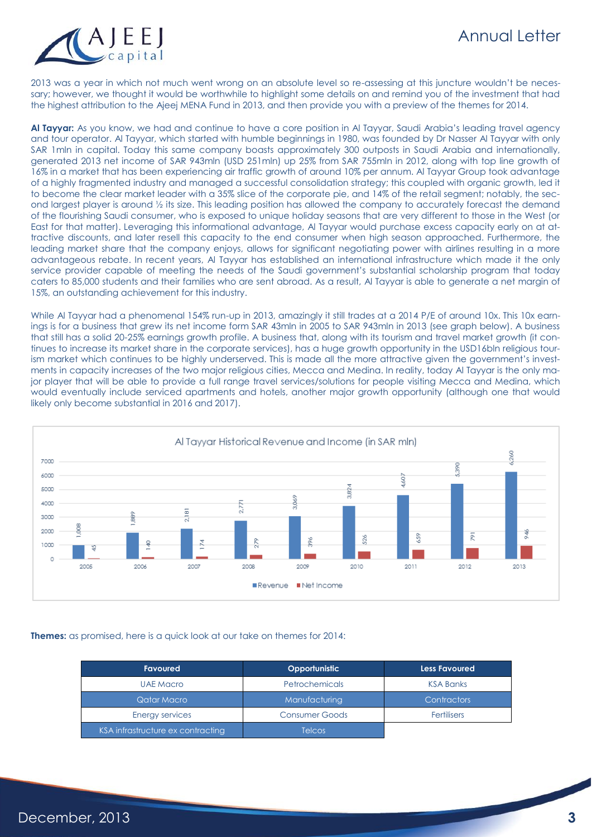# Annual Letter



2013 was a year in which not much went wrong on an absolute level so re-assessing at this juncture wouldn't be necessary; however, we thought it would be worthwhile to highlight some details on and remind you of the investment that had the highest attribution to the Ajeej MENA Fund in 2013, and then provide you with a preview of the themes for 2014.

**Al Tayyar:** As you know, we had and continue to have a core position in Al Tayyar, Saudi Arabia's leading travel agency and tour operator. Al Tayyar, which started with humble beginnings in 1980, was founded by Dr Nasser Al Tayyar with only SAR 1mln in capital. Today this same company boasts approximately 300 outposts in Saudi Arabia and internationally, generated 2013 net income of SAR 943mln (USD 251mln) up 25% from SAR 755mln in 2012, along with top line growth of 16% in a market that has been experiencing air traffic growth of around 10% per annum. Al Tayyar Group took advantage of a highly fragmented industry and managed a successful consolidation strategy; this coupled with organic growth, led it to become the clear market leader with a 35% slice of the corporate pie, and 14% of the retail segment; notably, the second largest player is around ½ its size. This leading position has allowed the company to accurately forecast the demand of the flourishing Saudi consumer, who is exposed to unique holiday seasons that are very different to those in the West (or East for that matter). Leveraging this informational advantage, Al Tayyar would purchase excess capacity early on at attractive discounts, and later resell this capacity to the end consumer when high season approached. Furthermore, the leading market share that the company enjoys, allows for significant negotiating power with airlines resulting in a more advantageous rebate. In recent years, Al Tayyar has established an international infrastructure which made it the only service provider capable of meeting the needs of the Saudi government's substantial scholarship program that today caters to 85,000 students and their families who are sent abroad. As a result, Al Tayyar is able to generate a net margin of 15%, an outstanding achievement for this industry.

While Al Tayyar had a phenomenal 154% run-up in 2013, amazingly it still trades at a 2014 P/E of around 10x. This 10x earnings is for a business that grew its net income form SAR 43mln in 2005 to SAR 943mln in 2013 (see graph below). A business that still has a solid 20-25% earnings growth profile. A business that, along with its tourism and travel market growth (it continues to increase its market share in the corporate services), has a huge growth opportunity in the USD16bln religious tourism market which continues to be highly underserved. This is made all the more attractive given the government's investments in capacity increases of the two major religious cities, Mecca and Medina. In reality, today Al Tayyar is the only major player that will be able to provide a full range travel services/solutions for people visiting Mecca and Medina, which would eventually include serviced apartments and hotels, another major growth opportunity (although one that would likely only become substantial in 2016 and 2017).



**Themes:** as promised, here is a quick look at our take on themes for 2014:

| <b>Favoured</b>                   | Opportunistic         | <b>Less Favoured</b> |
|-----------------------------------|-----------------------|----------------------|
| UAE Macro                         | <b>Petrochemicals</b> | <b>KSA Banks</b>     |
| Qatar Macro                       | Manufacturing         | <b>Contractors</b>   |
| Energy services                   | <b>Consumer Goods</b> | <b>Fertilisers</b>   |
| KSA infrastructure ex contracting | <b>Telcos</b>         |                      |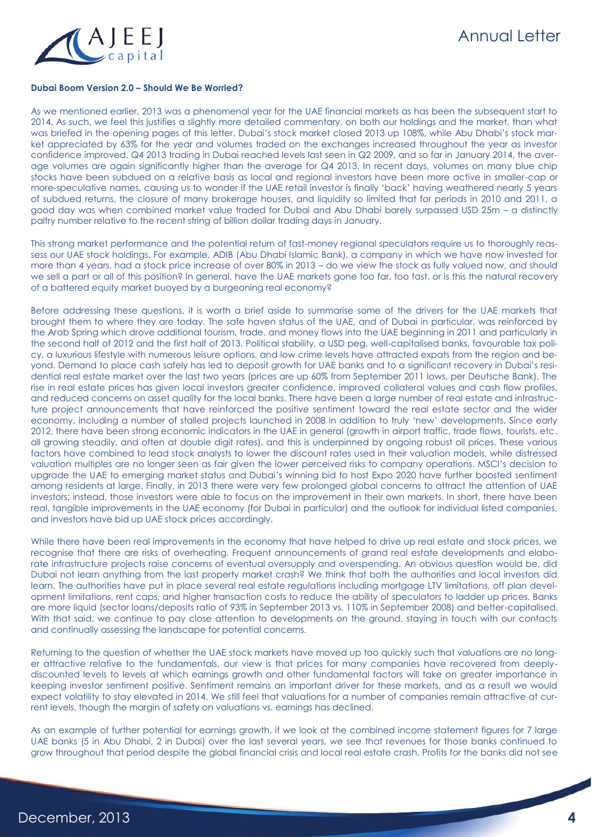

### **Dubai Boom Version 2.0 – Should We Be Worried?**

As we mentioned earlier, 2013 was a phenomenal year for the UAE financial markets as has been the subsequent start to 2014. As such, we feel this justifies a slightly more detailed commentary, on both our holdings and the market, than what was briefed in the opening pages of this letter. Dubai's stock market closed 2013 up 108%, while Abu Dhabi's stock market appreciated by 63% for the year and volumes traded on the exchanges increased throughout the year as investor confidence improved. Q4 2013 trading in Dubai reached levels last seen in Q2 2009, and so far in January 2014, the average volumes are again significantly higher than the average for Q4 2013. In recent days, volumes on many blue chip stocks have been subdued on a relative basis as local and regional investors have been more active in smaller-cap or more-speculative names, causing us to wonder if the UAE retail investor is finally 'back' having weathered nearly 5 years of subdued returns, the closure of many brokerage houses, and liquidity so limited that for periods in 2010 and 2011, a good day was when combined market value traded for Dubai and Abu Dhabi barely surpassed USD 25m – a distinctly paltry number relative to the recent string of billion dollar trading days in January.

This strong market performance and the potential return of fast-money regional speculators require us to thoroughly reassess our UAE stock holdings. For example, ADIB (Abu Dhabi Islamic Bank), a company in which we have now invested for more than 4 years, had a stock price increase of over 80% in 2013 – do we view the stock as fully valued now, and should we sell a part or all of this position? In general, have the UAE markets gone too far, too fast, or is this the natural recovery of a battered equity market buoyed by a burgeoning real economy?

Before addressing these questions, it is worth a brief aside to summarise some of the drivers for the UAE markets that brought them to where they are today. The safe haven status of the UAE, and of Dubai in particular, was reinforced by the Arab Spring which drove additional tourism, trade, and money flows into the UAE beginning in 2011 and particularly in the second half of 2012 and the first half of 2013. Political stability, a USD peg, well-capitalised banks, favourable tax policy, a luxurious lifestyle with numerous leisure options, and low crime levels have attracted expats from the region and beyond. Demand to place cash safely has led to deposit growth for UAE banks and to a significant recovery in Dubai's residential real estate market over the last two years (prices are up 60% from September 2011 lows, per Deutsche Bank). The rise in real estate prices has given local investors greater confidence, improved collateral values and cash flow profiles, and reduced concerns on asset quality for the local banks. There have been a large number of real estate and infrastructure project announcements that have reinforced the positive sentiment toward the real estate sector and the wider economy, including a number of stalled projects launched in 2008 in addition to truly 'new' developments. Since early 2012, there have been strong economic indicators in the UAE in general (growth in airport traffic, trade flows, tourists, etc. all growing steadily, and often at double digit rates), and this is underpinned by ongoing robust oil prices. These various factors have combined to lead stock analysts to lower the discount rates used in their valuation models, while distressed valuation multiples are no longer seen as fair given the lower perceived risks to company operations. MSCI's decision to upgrade the UAE to emerging market status and Dubai's winning bid to host Expo 2020 have further boosted sentiment among residents at large. Finally, in 2013 there were very few prolonged global concerns to attract the attention of UAE investors; instead, those investors were able to focus on the improvement in their own markets. In short, there have been real, tangible improvements in the UAE economy (for Dubai in particular) and the outlook for individual listed companies, and investors have bid up UAE stock prices accordingly.

While there have been real improvements in the economy that have helped to drive up real estate and stock prices, we recognise that there are risks of overheating. Frequent announcements of grand real estate developments and elaborate infrastructure projects raise concerns of eventual oversupply and overspending. An obvious question would be, did Dubai not learn anything from the last property market crash? We think that both the authorities and local investors did learn. The authorities have put in place several real estate regulations including mortgage LTV limitations, off plan development limitations, rent caps, and higher transaction costs to reduce the ability of speculators to ladder up prices. Banks are more liquid (sector loans/deposits ratio of 93% in September 2013 vs. 110% in September 2008) and better-capitalised. With that said, we continue to pay close attention to developments on the ground, staying in touch with our contacts and continually assessing the landscape for potential concerns.

Returning to the question of whether the UAE stock markets have moved up too quickly such that valuations are no longer attractive relative to the fundamentals, our view is that prices for many companies have recovered from deeplydiscounted levels to levels at which earnings growth and other fundamental factors will take on greater importance in keeping investor sentiment positive. Sentiment remains an important driver for these markets, and as a result we would expect volatility to stay elevated in 2014. We still feel that valuations for a number of companies remain attractive at current levels, though the margin of safety on valuations vs. earnings has declined.

As an example of further potential for earnings growth, if we look at the combined income statement figures for 7 large UAE banks (5 in Abu Dhabi, 2 in Dubai) over the last several years, we see that revenues for those banks continued to grow throughout that period despite the global financial crisis and local real estate crash. Profits for the banks did not see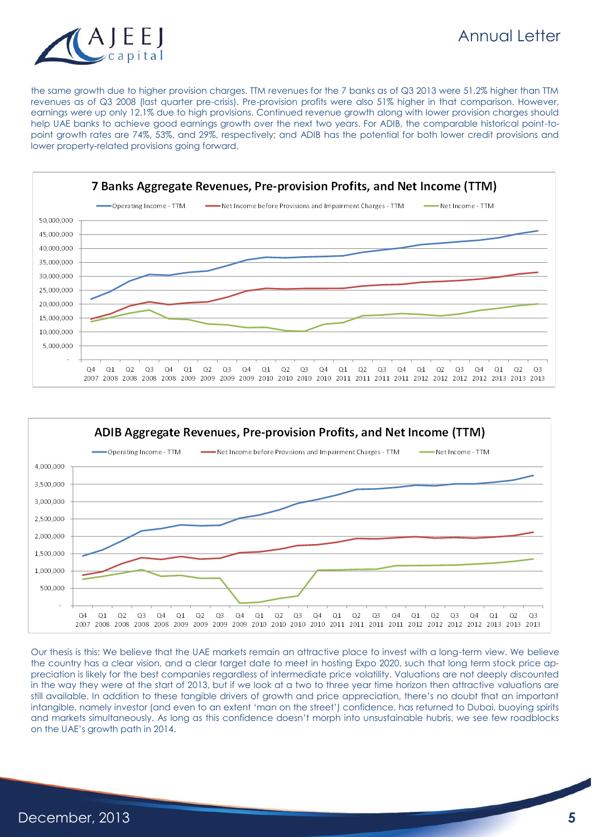

the same growth due to higher provision charges. TTM revenues for the 7 banks as of Q3 2013 were 51.2% higher than TTM revenues as of Q3 2008 (last quarter pre-crisis). Pre-provision profits were also 51% higher in that comparison. However, earnings were up only 12.1% due to high provisions. Continued revenue growth along with lower provision charges should help UAE banks to achieve good earnings growth over the next two years. For ADIB, the comparable historical point-topoint growth rates are 74%, 53%, and 29%, respectively; and ADIB has the potential for both lower credit provisions and lower property-related provisions going forward.





Our thesis is this: We believe that the UAE markets remain an attractive place to invest with a long-term view. We believe the country has a clear vision, and a clear target date to meet in hosting Expo 2020, such that long term stock price appreciation is likely for the best companies regardless of intermediate price volatility. Valuations are not deeply discounted in the way they were at the start of 2013, but if we look at a two to three year time horizon then attractive valuations are still available. In addition to these tangible drivers of growth and price appreciation, there's no doubt that an important intangible, namely investor (and even to an extent 'man on the street') confidence, has returned to Dubai, buoying spirits and markets simultaneously. As long as this confidence doesn't morph into unsustainable hubris, we see few roadblocks on the UAE's growth path in 2014.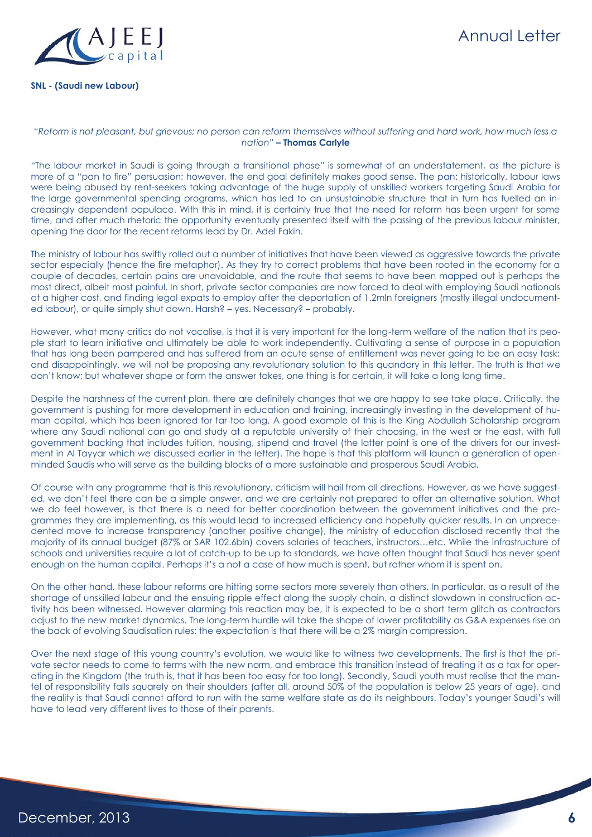

# Annual Letter

### **SNL - (Saudi new Labour)**

### *"Reform is not pleasant, but grievous; no person can reform themselves without suffering and hard work, how much less a nation"* **– Thomas Carlyle**

"The labour market in Saudi is going through a transitional phase" is somewhat of an understatement, as the picture is more of a "pan to fire" persuasion; however, the end goal definitely makes good sense. The pan: historically, labour laws were being abused by rent-seekers taking advantage of the huge supply of unskilled workers targeting Saudi Arabia for the large governmental spending programs, which has led to an unsustainable structure that in turn has fuelled an increasingly dependent populace. With this in mind, it is certainly true that the need for reform has been urgent for some time, and after much rhetoric the opportunity eventually presented itself with the passing of the previous labour minister, opening the door for the recent reforms lead by Dr. Adel Fakih.

The ministry of labour has swiftly rolled out a number of initiatives that have been viewed as aggressive towards the private sector especially (hence the fire metaphor). As they try to correct problems that have been rooted in the economy for a couple of decades, certain pains are unavoidable, and the route that seems to have been mapped out is perhaps the most direct, albeit most painful. In short, private sector companies are now forced to deal with employing Saudi nationals at a higher cost, and finding legal expats to employ after the deportation of 1.2mln foreigners (mostly illegal undocumented labour), or quite simply shut down. Harsh? – yes. Necessary? – probably.

However, what many critics do not vocalise, is that it is very important for the long-term welfare of the nation that its people start to learn initiative and ultimately be able to work independently. Cultivating a sense of purpose in a population that has long been pampered and has suffered from an acute sense of entitlement was never going to be an easy task; and disappointingly, we will not be proposing any revolutionary solution to this quandary in this letter. The truth is that we don't know; but whatever shape or form the answer takes, one thing is for certain, it will take a long long time.

Despite the harshness of the current plan, there are definitely changes that we are happy to see take place. Critically, the government is pushing for more development in education and training, increasingly investing in the development of human capital, which has been ignored for far too long. A good example of this is the King Abdullah Scholarship program where any Saudi national can go and study at a reputable university of their choosing, in the west or the east, with full government backing that includes tuition, housing, stipend and travel (the latter point is one of the drivers for our investment in Al Tayyar which we discussed earlier in the letter). The hope is that this platform will launch a generation of openminded Saudis who will serve as the building blocks of a more sustainable and prosperous Saudi Arabia.

Of course with any programme that is this revolutionary, criticism will hail from all directions. However, as we have suggested, we don't feel there can be a simple answer, and we are certainly not prepared to offer an alternative solution. What we do feel however, is that there is a need for better coordination between the government initiatives and the programmes they are implementing, as this would lead to increased efficiency and hopefully quicker results. In an unprecedented move to increase transparency (another positive change), the ministry of education disclosed recently that the majority of its annual budget (87% or SAR 102.6bln) covers salaries of teachers, instructors…etc. While the infrastructure of schools and universities require a lot of catch-up to be up to standards, we have often thought that Saudi has never spent enough on the human capital. Perhaps it's a not a case of how much is spent, but rather whom it is spent on.

On the other hand, these labour reforms are hitting some sectors more severely than others. In particular, as a result of the shortage of unskilled labour and the ensuing ripple effect along the supply chain, a distinct slowdown in construction activity has been witnessed. However alarming this reaction may be, it is expected to be a short term glitch as contractors adjust to the new market dynamics. The long-term hurdle will take the shape of lower profitability as G&A expenses rise on the back of evolving Saudisation rules; the expectation is that there will be a 2% margin compression.

Over the next stage of this young country's evolution, we would like to witness two developments. The first is that the private sector needs to come to terms with the new norm, and embrace this transition instead of treating it as a tax for operating in the Kingdom (the truth is, that it has been too easy for too long). Secondly, Saudi youth must realise that the mantel of responsibility falls squarely on their shoulders (after all, around 50% of the population is below 25 years of age), and the reality is that Saudi cannot afford to run with the same welfare state as do its neighbours. Today's younger Saudi's will have to lead very different lives to those of their parents.